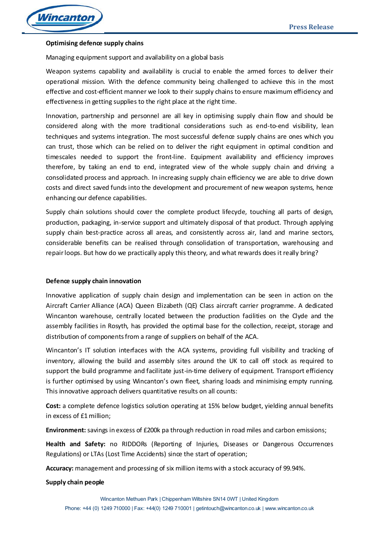

## **Optimising defence supply chains**

Managing equipment support and availability on a global basis

Weapon systems capability and availability is crucial to enable the armed forces to deliver their operational mission. With the defence community being challenged to achieve this in the most effective and cost-efficient manner we look to their supply chains to ensure maximum efficiency and effectiveness in getting supplies to the right place at the right time.

Innovation, partnership and personnel are all key in optimising supply chain flow and should be considered along with the more traditional considerations such as end-to-end visibility, lean techniques and systems integration. The most successful defence supply chains are ones which you can trust, those which can be relied on to deliver the right equipment in optimal condition and timescales needed to support the front-line. Equipment availability and efficiency improves therefore, by taking an end to end, integrated view of the whole supply chain and driving a consolidated process and approach. In increasing supply chain efficiency we are able to drive down costs and direct saved funds into the development and procurement of new weapon systems, hence enhancing our defence capabilities.

Supply chain solutions should cover the complete product lifecyde, touching all parts of design, production, packaging, in-service support and ultimately disposal of that product. Through applying supply chain best-practice across all areas, and consistently across air, land and marine sectors, considerable benefits can be realised through consolidation of transportation, warehousing and repair loops. But how do we practically apply this theory, and what rewards does it really bring?

# **Defence supply chain innovation**

Innovative application of supply chain design and implementation can be seen in action on the Aircraft Carrier Alliance (ACA) Queen Elizabeth (QE) Class aircraft carrier programme. A dedicated Wincanton warehouse, centrally located between the production facilities on the Clyde and the assembly facilities in Rosyth, has provided the optimal base for the collection, receipt, storage and distribution of components from a range of suppliers on behalf of the ACA.

Wincanton's IT solution interfaces with the ACA systems, providing full visibility and tracking of inventory, allowing the build and assembly sites around the UK to call off stock as required to support the build programme and facilitate just-in-time delivery of equipment. Transport efficiency is further optimised by using Wincanton's own fleet, sharing loads and minimising empty running. This innovative approach delivers quantitative results on all counts:

**Cost:** a complete defence logistics solution operating at 15% below budget, yielding annual benefits in excess of £1 million;

**Environment:** savings in excess of £200k pa through reduction in road miles and carbon emissions;

**Health and Safety:** no RIDDORs (Reporting of Injuries, Diseases or Dangerous Occurrences Regulations) or LTAs (Lost Time Accidents) since the start of operation;

**Accuracy:** management and processing of six million items with a stock accuracy of 99.94%.

### **Supply chain people**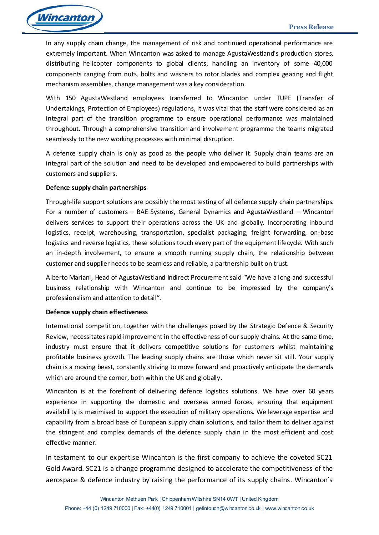

In any supply chain change, the management of risk and continued operational performance are extremely important. When Wincanton was asked to manage AgustaWestland's production stores, distributing helicopter components to global clients, handling an inventory of some 40,000 components ranging from nuts, bolts and washers to rotor blades and complex gearing and flight mechanism assemblies, change management was a key consideration.

With 150 AgustaWestland employees transferred to Wincanton under TUPE (Transfer of Undertakings, Protection of Employees) regulations, it was vital that the staff were considered as an integral part of the transition programme to ensure operational performance was maintained throughout. Through a comprehensive transition and involvement programme the teams migrated seamlessly to the new working processes with minimal disruption.

A defence supply chain is only as good as the people who deliver it. Supply chain teams are an integral part of the solution and need to be developed and empowered to build partnerships with customers and suppliers.

# **Defence supply chain partnerships**

Through-life support solutions are possibly the most testing of all defence supply chain partnerships. For a number of customers – BAE Systems, General Dynamics and AgustaWestland – Wincanton delivers services to support their operations across the UK and globally. Incorporating inbound logistics, receipt, warehousing, transportation, specialist packaging, freight forwarding, on-base logistics and reverse logistics, these solutions touch every part of the equipment lifecyde. With such an in-depth involvement, to ensure a smooth running supply chain, the relationship between customer and supplier needs to be seamless and reliable, a partnership built on trust.

Alberto Mariani, Head of AgustaWestland Indirect Procurement said "We have a long and successful business relationship with Wincanton and continue to be impressed by the company's professionalism and attention to detail".

# **Defence supply chain effectiveness**

International competition, together with the challenges posed by the Strategic Defence & Security Review, necessitates rapid improvement in the effectiveness of our supply chains. At the same time, industry must ensure that it delivers competitive solutions for customers whilst maintaining profitable business growth. The leading supply chains are those which never sit still. Your supply chain is a moving beast, constantly striving to move forward and proactively anticipate the demands which are around the corner, both within the UK and globally.

Wincanton is at the forefront of delivering defence logistics solutions. We have over 60 years experience in supporting the domestic and overseas armed forces, ensuring that equipment availability is maximised to support the execution of military operations. We leverage expertise and capability from a broad base of European supply chain solutions, and tailor them to deliver against the stringent and complex demands of the defence supply chain in the most efficient and cost effective manner.

In testament to our expertise Wincanton is the first company to achieve the coveted SC21 Gold Award. SC21 is a change programme designed to accelerate the competitiveness of the aerospace & defence industry by raising the performance of its supply chains. Wincanton's